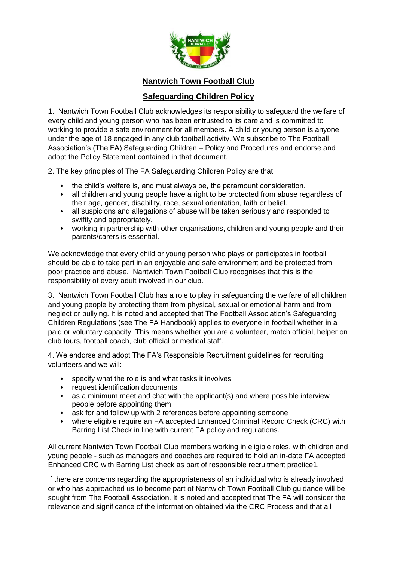

**Nantwich Town Football Club**

## **Safeguarding Children Policy**

1. Nantwich Town Football Club acknowledges its responsibility to safeguard the welfare of every child and young person who has been entrusted to its care and is committed to working to provide a safe environment for all members. A child or young person is anyone under the age of 18 engaged in any club football activity. We subscribe to The Football Association's (The FA) Safeguarding Children – Policy and Procedures and endorse and adopt the Policy Statement contained in that document.

2. The key principles of The FA Safeguarding Children Policy are that:

- the child's welfare is, and must always be, the paramount consideration.
- all children and young people have a right to be protected from abuse regardless of their age, gender, disability, race, sexual orientation, faith or belief.
- all suspicions and allegations of abuse will be taken seriously and responded to swiftly and appropriately.
- working in partnership with other organisations, children and young people and their parents/carers is essential.

We acknowledge that every child or young person who plays or participates in football should be able to take part in an enjoyable and safe environment and be protected from poor practice and abuse. Nantwich Town Football Club recognises that this is the responsibility of every adult involved in our club.

3. Nantwich Town Football Club has a role to play in safeguarding the welfare of all children and young people by protecting them from physical, sexual or emotional harm and from neglect or bullying. It is noted and accepted that The Football Association's Safeguarding Children Regulations (see The FA Handbook) applies to everyone in football whether in a paid or voluntary capacity. This means whether you are a volunteer, match official, helper on club tours, football coach, club official or medical staff.

4. We endorse and adopt The FA's Responsible Recruitment guidelines for recruiting volunteers and we will:

- specify what the role is and what tasks it involves
- request identification documents
- as a minimum meet and chat with the applicant(s) and where possible interview people before appointing them
- ask for and follow up with 2 references before appointing someone
- where eligible require an FA accepted Enhanced Criminal Record Check (CRC) with Barring List Check in line with current FA policy and regulations.

All current Nantwich Town Football Club members working in eligible roles, with children and young people - such as managers and coaches are required to hold an in-date FA accepted Enhanced CRC with Barring List check as part of responsible recruitment practice1.

If there are concerns regarding the appropriateness of an individual who is already involved or who has approached us to become part of Nantwich Town Football Club guidance will be sought from The Football Association. It is noted and accepted that The FA will consider the relevance and significance of the information obtained via the CRC Process and that all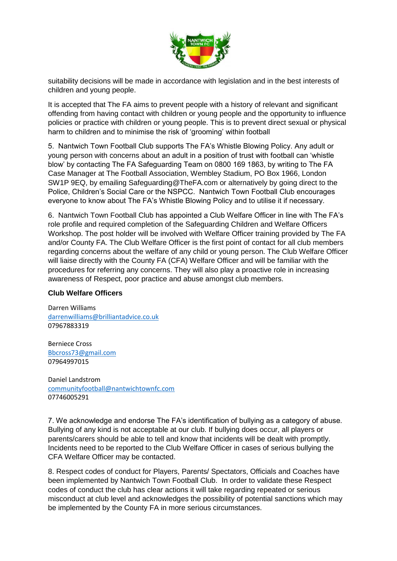

suitability decisions will be made in accordance with legislation and in the best interests of children and young people.

It is accepted that The FA aims to prevent people with a history of relevant and significant offending from having contact with children or young people and the opportunity to influence policies or practice with children or young people. This is to prevent direct sexual or physical harm to children and to minimise the risk of 'grooming' within football

5. Nantwich Town Football Club supports The FA's Whistle Blowing Policy. Any adult or young person with concerns about an adult in a position of trust with football can 'whistle blow' by contacting The FA Safeguarding Team on 0800 169 1863, by writing to The FA Case Manager at The Football Association, Wembley Stadium, PO Box 1966, London SW1P 9EQ, by emailing Safeguarding@TheFA.com or alternatively by going direct to the Police, Children's Social Care or the NSPCC. Nantwich Town Football Club encourages everyone to know about The FA's Whistle Blowing Policy and to utilise it if necessary.

6. Nantwich Town Football Club has appointed a Club Welfare Officer in line with The FA's role profile and required completion of the Safeguarding Children and Welfare Officers Workshop. The post holder will be involved with Welfare Officer training provided by The FA and/or County FA. The Club Welfare Officer is the first point of contact for all club members regarding concerns about the welfare of any child or young person. The Club Welfare Officer will liaise directly with the County FA (CFA) Welfare Officer and will be familiar with the procedures for referring any concerns. They will also play a proactive role in increasing awareness of Respect, poor practice and abuse amongst club members.

## **Club Welfare Officers**

Darren Williams [darrenwilliams@brilliantadvice.co.uk](mailto:darrenwilliams@brilliantadvice.co.uk) 07967883319

Berniece Cross [Bbcross73@gmail.com](mailto:Bbcross73@gmail.com) 07964997015

Daniel Landstrom [communityfootball@nantwichtownfc.com](mailto:communityfootball@nantwichtownfc.com) 07746005291

7. We acknowledge and endorse The FA's identification of bullying as a category of abuse. Bullying of any kind is not acceptable at our club. If bullying does occur, all players or parents/carers should be able to tell and know that incidents will be dealt with promptly. Incidents need to be reported to the Club Welfare Officer in cases of serious bullying the CFA Welfare Officer may be contacted.

8. Respect codes of conduct for Players, Parents/ Spectators, Officials and Coaches have been implemented by Nantwich Town Football Club. In order to validate these Respect codes of conduct the club has clear actions it will take regarding repeated or serious misconduct at club level and acknowledges the possibility of potential sanctions which may be implemented by the County FA in more serious circumstances.